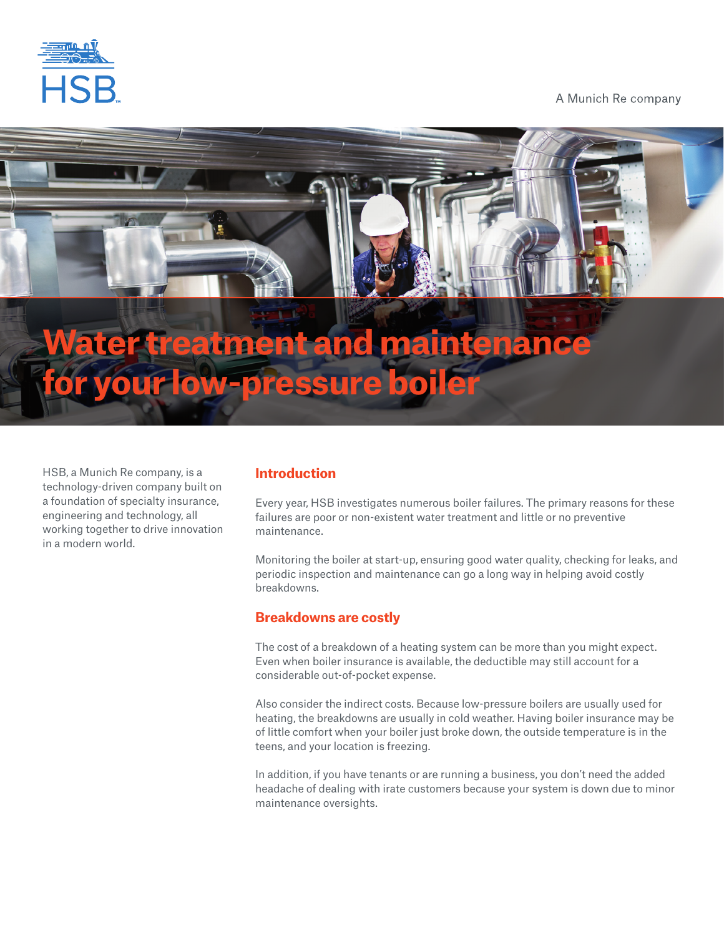

A Munich Re company



# **Water treatment and maintenance for your low-pressure boiler**

HSB, a Munich Re company, is a technology-driven company built on a foundation of specialty insurance, engineering and technology, all working together to drive innovation in a modern world.

# **Introduction**

Every year, HSB investigates numerous boiler failures. The primary reasons for these failures are poor or non-existent water treatment and little or no preventive maintenance.

Monitoring the boiler at start-up, ensuring good water quality, checking for leaks, and periodic inspection and maintenance can go a long way in helping avoid costly breakdowns.

# **Breakdowns are costly**

The cost of a breakdown of a heating system can be more than you might expect. Even when boiler insurance is available, the deductible may still account for a considerable out-of-pocket expense.

Also consider the indirect costs. Because low-pressure boilers are usually used for heating, the breakdowns are usually in cold weather. Having boiler insurance may be of little comfort when your boiler just broke down, the outside temperature is in the teens, and your location is freezing.

In addition, if you have tenants or are running a business, you don't need the added headache of dealing with irate customers because your system is down due to minor maintenance oversights.